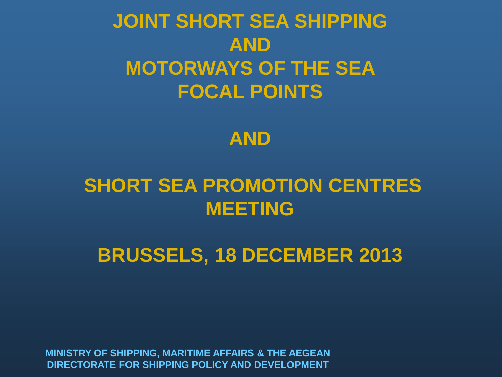#### **JOINT SHORT SEA SHIPPING AND MOTORWAYS OF THE SEA FOCAL POINTS**



#### **SHORT SEA PROMOTION CENTRES MEETING**

**BRUSSELS, 18 DECEMBER 2013**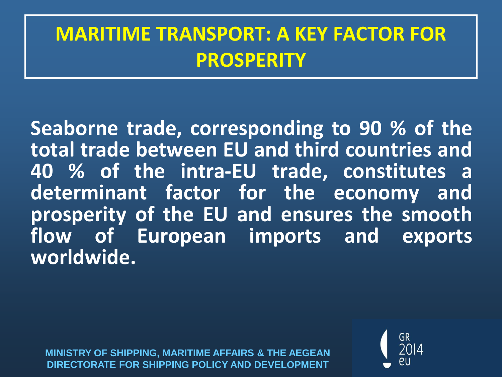#### **MARITIME TRANSPORT: A KEY FACTOR FOR PROSPERITY**

**Seaborne trade, corresponding to 90 % of the total trade between EU and third countries and 40 % of the intra-EU trade, constitutes a determinant factor for the economy and prosperity of the EU and ensures the smooth flow of European imports and exports worldwide.**

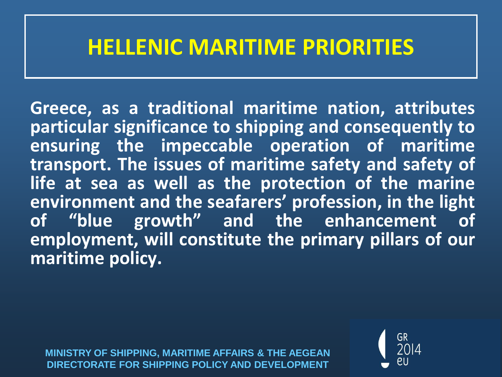#### **HELLENIC MARITIME PRIORITIES**

**Greece, as a traditional maritime nation, attributes particular significance to shipping and consequently to ensuring the impeccable operation of maritime transport. The issues of maritime safety and safety of life at sea as well as the protection of the marine environment and the seafarers' profession, in the light of "blue growth" and the enhancement of employment, will constitute the primary pillars of our maritime policy.**

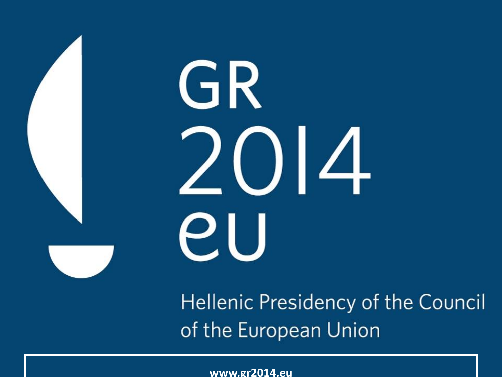# GR 2014 **PU**

Hellenic Presidency of the Council of the European Union

**DIRECTORATE FOR SHIPPING POLICY AND DEVELOPMENT www.gr2014.eu**

**MINISTRY OF SHIPPING, MARITIME AFFAIRS & THE AEGEAN**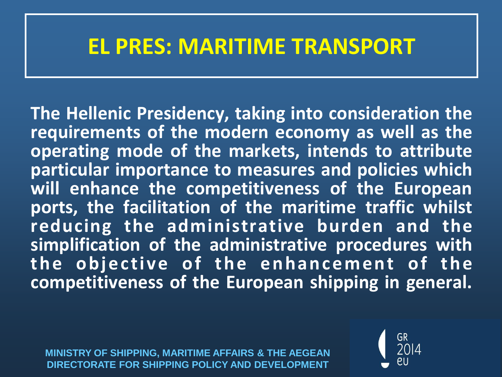#### **EL PRES: MARITIME TRANSPORT**

**The Hellenic Presidency, taking into consideration the requirements of the modern economy as well as the operating mode of the markets, intends to attribute particular importance to measures and policies which will enhance the competitiveness of the European ports, the facilitation of the maritime traffic whilst reducing the administrative burden and the simplification of the administrative procedures with the objective** of the enhancement of the **competitiveness of the European shipping in general.**

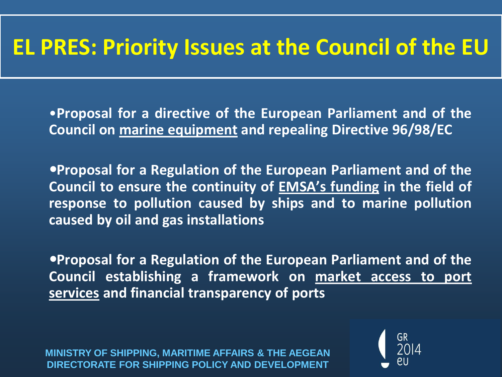#### **EL PRES: Priority Issues at the Council of the EU**

•**Proposal for a directive of the European Parliament and of the Council on marine equipment and repealing Directive 96/98/EC**

**Proposal for a Regulation of the European Parliament and of the Council to ensure the continuity of EMSA's funding in the field of response to pollution caused by ships and to marine pollution caused by oil and gas installations**

**Proposal for a Regulation of the European Parliament and of the Council establishing a framework on market access to port services and financial transparency of ports**

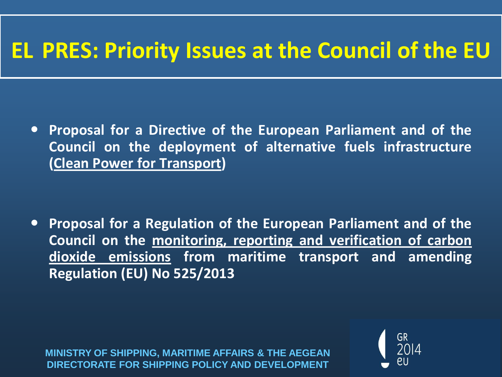#### **EL PRES: Priority Issues at the Council of the EU**

 **Proposal for a Directive of the European Parliament and of the Council on the deployment of alternative fuels infrastructure (Clean Power for Transport)**

 **Proposal for a Regulation of the European Parliament and of the Council on the monitoring, reporting and verification of carbon dioxide emissions from maritime transport and amending Regulation (EU) No 525/2013**

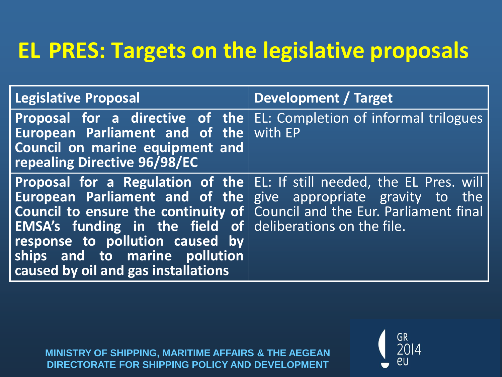#### **EL PRES: Targets on the legislative proposals**

| <b>Legislative Proposal</b>                                                                                                                                          | Development / Target                                                                                                                                                                                                                 |
|----------------------------------------------------------------------------------------------------------------------------------------------------------------------|--------------------------------------------------------------------------------------------------------------------------------------------------------------------------------------------------------------------------------------|
| European Parliament and of the with EP<br>Council on marine equipment and<br>repealing Directive 96/98/EC                                                            | <b>Proposal for a directive of the EL:</b> Completion of informal trilogues                                                                                                                                                          |
| EMSA's funding in the field of deliberations on the file.<br>response to pollution caused by<br>ships and to marine pollution<br>caused by oil and gas installations | Proposal for a Regulation of the EL: If still needed, the EL Pres. will<br><b>European Parliament and of the</b> give appropriate gravity to the<br><b>Council to ensure the continuity of</b> Council and the Eur. Parliament final |

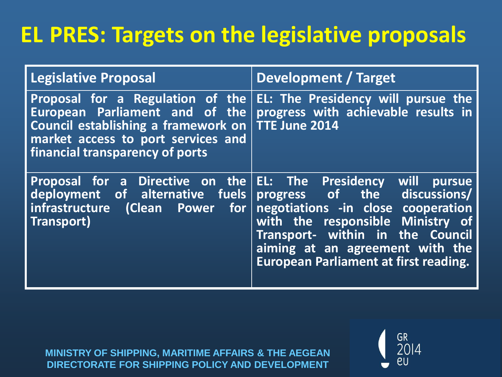## **EL PRES: Targets on the legislative proposals**

| <b>Legislative Proposal</b>                                                                                                                                                        | Development / Target                                                                                                                                                                                                                            |
|------------------------------------------------------------------------------------------------------------------------------------------------------------------------------------|-------------------------------------------------------------------------------------------------------------------------------------------------------------------------------------------------------------------------------------------------|
| Proposal for a Regulation of the<br>European Parliament and of the<br>Council establishing a framework on<br>market access to port services and<br>financial transparency of ports | EL: The Presidency will pursue the<br>progress with achievable results in<br><b>TTE June 2014</b>                                                                                                                                               |
| <b>Proposal for a Directive on the EL: The Presidency</b><br>deployment of alternative fuels<br>infrastructure<br>$\mid$ (Clean Power for $\mid$<br>Transport)                     | will<br>pursue<br>progress of the discussions/<br>negotiations -in close cooperation<br>with the responsible Ministry of<br>Transport- within in the Council<br>aiming at an agreement with the<br><b>European Parliament at first reading.</b> |

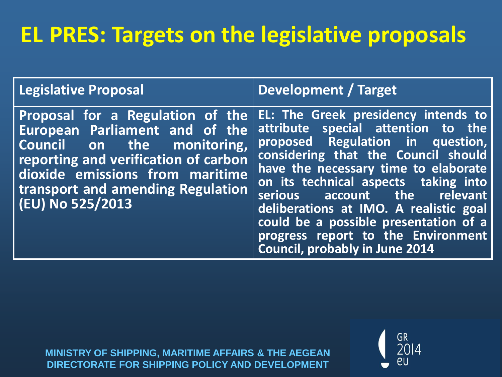## **EL PRES: Targets on the legislative proposals**

| <b>Legislative Proposal</b>                                                                                                                                                                                                          | Development / Target                                                                                                                                                                                                                                                                                                                                                                                                            |
|--------------------------------------------------------------------------------------------------------------------------------------------------------------------------------------------------------------------------------------|---------------------------------------------------------------------------------------------------------------------------------------------------------------------------------------------------------------------------------------------------------------------------------------------------------------------------------------------------------------------------------------------------------------------------------|
| Proposal for a Regulation of the<br>European Parliament and of the<br>Council on the monitoring,<br>reporting and verification of carbon<br>dioxide emissions from maritime<br>transport and amending Regulation<br>(EU) No 525/2013 | EL: The Greek presidency intends to<br>attribute special attention to the<br>proposed Regulation in question,<br>considering that the Council should<br>have the necessary time to elaborate<br>on its technical aspects taking into<br>serious account the relevant<br>deliberations at IMO. A realistic goal<br>could be a possible presentation of a<br>progress report to the Environment<br>Council, probably in June 2014 |

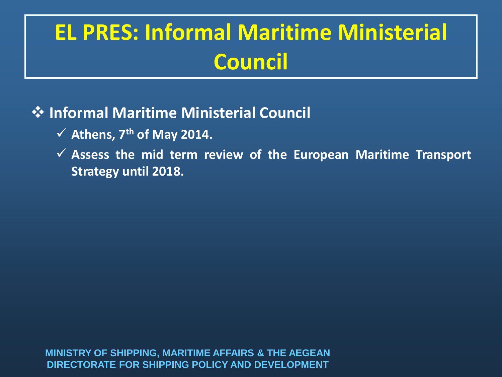# **EL PRES: Informal Maritime Ministerial Council**

#### **Informal Maritime Ministerial Council**

- **Athens, 7 th of May 2014.**
- **Assess the mid term review of the European Maritime Transport Strategy until 2018.**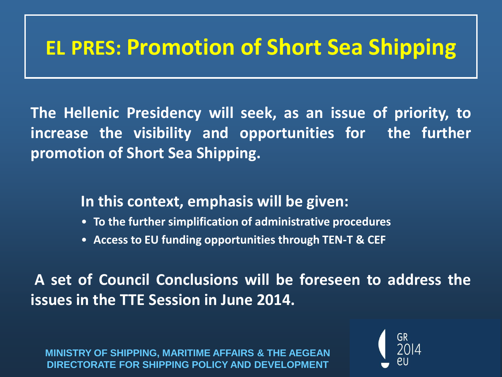#### **EL PRES: Promotion of Short Sea Shipping**

**The Hellenic Presidency will seek, as an issue of priority, to increase the visibility and opportunities for the further promotion of Short Sea Shipping.**

**In this context, emphasis will be given:**

- **To the further simplification of administrative procedures**
- **Access to EU funding opportunities through TEN-T & CEF**

**A set of Council Conclusions will be foreseen to address the issues in the TTE Session in June 2014.**

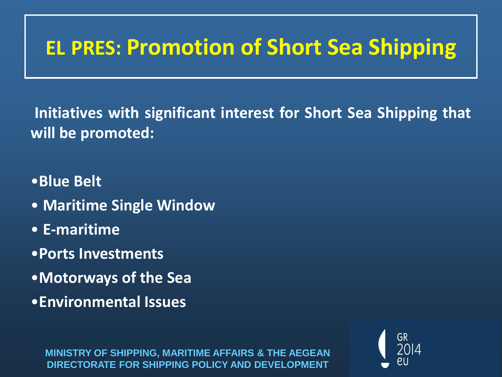### **EL PRES: Promotion of Short Sea Shipping**

**Initiatives with significant interest for Short Sea Shipping that will be promoted:**

•**Blue Belt**

- **Maritime Single Window**
- **E-maritime**
- •**Ports Investments**
- •**Motorways of the Sea**
- •**Environmental Issues**